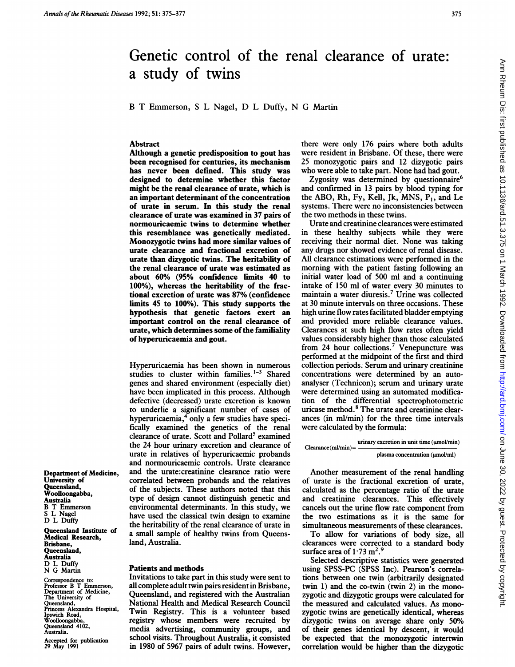# Ann Rheum Dis: first published as 10.1136/ard.51.3.375 on 1 March 1992. Downloaded from http://ard.bmj.com/ on June 30, 2022 by guest. Protected by copyright on June 30, 2022 by guest. Protected by copyright. Protect 1326 on Ann Rheum Discloped as 10.11387. Download as 10.1138. Published as 10.11387. Published as 10.11387. Published as 10.11389. Ann Rheum 1992. Downloaded from

# Genetic control of the renal clearance of urate: a study of twins

B T Emmerson, <sup>S</sup> L Nagel, D L Duffy, N G Martin

### Abstract

Although a genetic predisposition to gout has been recognised for centuries, its mechanism has never been defined. This study was designed to determine whether this factor might be the renal clearance of urate, which is an important determinant of the concentration of urate in serum. In this study the renal clearance of urate was examined in 37 pairs of normouricaemic twins to determine whether this resemblance was geneticaily mediated. Monozygotic twins had more similar values of urate clearance and fractional excretion of urate than dizygotic twins. The heritability of the renal clearance of urate was estimated as about 60% (95% confidence limits 40 to 100%), whereas the heritability of the fractional excretion of urate was 87% (confidence limits 45 to 100%). This study supports the hypothesis that genetic factors exert an important control on the renal clearance of urate, which determines some of the familiality of hyperuricaemia and gout.

Hyperuricaemia has been shown in numerous studies to cluster within families. $1-3$  Shared genes and shared environment (especially diet) have been implicated in this process. Although defective (decreased) urate excretion is known to underlie a significant number of cases of hyperuricaemia,<sup>4</sup> only a few studies have specifically examined the genetics of the renal clearance of urate. Scott and Pollard<sup>5</sup> examined the 24 hour urinary excretion and clearance of urate in relatives of hyperuricaemic probands and normouricaemic controls. Urate clearance and the urate:creatinine clearance ratio were correlated between probands and the relatives of the subjects. These authors noted that this type of design cannot distinguish genetic and environmental determinants. In this study, we have used the classical twin design to examine the heritability of the renal clearance of urate in a small sample of healthy twins from Queensland, Australia.

### Patients and methods

Invitations to take part in this study were sent to all complete adult twin pairs resident in Brisbane, Queensland, and registered with the Australian National Health and Medical Research Council Twin Registry. This is a volunteer based registry whose members were recruited by media advertising, community groups, and school visits. Throughout Australia, it consisted in 1980 of 5967 pairs of adult twins. However,

there were only 176 pairs where both adults were resident in Brisbane. Of these, there were 25 monozygotic pairs and 12 dizygotic pairs who were able to take part. None had had gout.

Zygosity was determined by questionnaire<sup>6</sup> and confirmed in 13 pairs by blood typing for the ABO, Rh, Fy, Kell, Jk, MNS,  $P_1$ , and Le systems. There were no inconsistencies between the two methods in these twins.

Urate and creatinine clearances were estimated in these healthy subjects while they were receiving their normal diet. None was taking any drugs nor showed evidence of renal disease. All clearance estimations were performed in the morning with the patient fasting following an initial water load of 500 ml and a continuing intake of 150 ml of water every <sup>30</sup> minutes to maintain a water diuresis.7 Urine was collected at 30 minute intervals on three occasions. These high urine flow rates facilitated bladder emptying and provided more reliable clearance values. Clearances at such high flow rates often yield values considerably higher than those calculated from 24 hour collections.<sup>7</sup> Venepuncture was performed at the midpoint of the first and third collection periods. Serum and urinary creatinine concentrations were determined by an autoanalyser (Technicon); serum and urinary urate were determined using an automated modification of the differential spectrophotometric uricase method.<sup>8</sup> The urate and creatinine clearances (in ml/min) for the three time intervals were calculated by the formula:

urinary excretion in unit time (umol/min) Clearance(ml/min)=

Another measurement of the renal handling of urate is the fractional excretion of urate, calculated as the percentage ratio of the urate and creatinine clearances. This effectively cancels out the urine flow rate component from the two estimations as it is the same for simultaneous measurements of these clearances.

To allow for variations of body size, all clearances were corrected to a standard body surface area of  $1.73 \text{ m}^2$ .<sup>9</sup>

Selected descriptive statistics were generated using SPSS-PC (SPSS Inc). Pearson's correlations between one twin (arbitrarily designated twin 1) and the co-twin (twin 2) in the monozygotic and dizygotic groups were calculated for the measured and calculated values. As monozygotic twins are genetically identical, whereas dizygotic twins on average share only 50% of their genes identical by descent, it would be expected that the monozygotic intertwin correlation would be higher than the dizygotic

Department of Medicine, University of Queensland, Woolloongabba, Australia B T Emmerson L Nagel D L Duffy

Queensland Institute of Medical Research, Brisbane, Queensland, Australia D L Duffy N G Martin

Correspondence to: Professor B T Emmerson, Department of Medicine, The University of Queensland, Princess Alexandra Hospital, Ipswich Road, Woolloongabba, Queensland 4102, Australia.

Accepted for publication 29 May 1991

plasma concentration (umol/ml)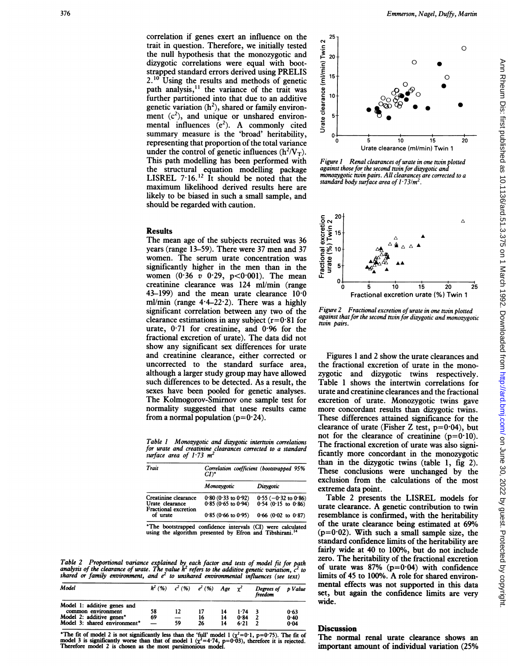correlation if genes exert an influence on the trait in question. Therefore, we initially tested the null hypothesis that the monozygotic and dizygotic correlations were equal with bootstrapped standard errors derived using PRELIS  $2.^{10}$  Using the results and methods of genetic path analysis, $<sup>11</sup>$  the variance of the trait was</sup> further partitioned into that due to an additive genetic variation  $(h^2)$ , shared or family environment  $(c^2)$ , and unique or unshared environmental influences  $(e^2)$ . A commonly cited summary measure is the 'broad' heritability, representing that proportion of the total variance under the control of genetic influences  $(h^2/V_T)$ . This path modelling has been performed with the structural equation modelling package LISREL 7.16.<sup>12</sup> It should be noted that the maximum likelihood derived results here are likely to be biased in such a small sample, and should be regarded with caution.

### Results

The mean age of the subjects recruited was 36 years (range 13-59). There were 37 men and 37 women. The serum urate concentration was significantly higher in the men than in the women  $(0.36 \, v \, 0.29, \, p < 0.001)$ . The mean creatinine clearance was 124 ml/min (range 43-199) and the mean urate clearance  $10.0$ ml/min (range  $4.4-22.2$ ). There was a highly significant correlation between any two of the clearance estimations in any subject  $(r=0.81$  for urate, 0-71 for creatinine, and 0-96 for the fractional excretion of urate). The data did not show any significant sex differences for urate and creatinine clearance, either corrected or uncorrected to the standard surface area, although a larger study group may have allowed such differences to be detected. As a result, the sexes have been pooled for genetic analyses. The Kolmogorov-Smirnov one sample test for normality suggested that tnese results came from a normal population  $(p=0.24)$ .

Table <sup>I</sup> Monozygotic and dizygotic intertwin correlations for urate and creatinine clearances corrected to a standard surface area of  $1.73$   $m<sup>2</sup>$ 

| Trait<br>Creatinine clearance<br>Urate clearance<br><b>Fractional excretion</b><br>of urate | Correlation coefficient (bootstrapped 95%<br>$CI$ <sup>*</sup> |                                                                   |  |  |  |
|---------------------------------------------------------------------------------------------|----------------------------------------------------------------|-------------------------------------------------------------------|--|--|--|
|                                                                                             | Monozygotic                                                    | Dizvgotic                                                         |  |  |  |
|                                                                                             | $0.80$ (0.33 to 0.92)<br>$0.85(0.65)$ to $0.94()$              | $0.55 (-0.32 \text{ to } 0.86)$<br>$0.54 (0.15 \text{ to } 0.86)$ |  |  |  |
|                                                                                             | $0.85(0.66 \text{ to } 0.95)$                                  | $0.66$ (0.02 to 0.87)                                             |  |  |  |

\*The bootstrapped confidence intervals (CI) were calculated using the algorithm presented by Efron and Tibshirani.

Table 2 Proportional variance explained by each factor and tests of model fit for path<br>analysis of the clearance of urate. The value h<sup>2</sup> refers to the additive genetic variation, c<sup>2</sup> to<br>shared or family environment, and

| Model                                                                         | $h^2(96)$                | $c^2$ (%) $e^2$ (%) Age        |    |          | $\gamma^2$   | Degrees of p Value<br>freedom |              |
|-------------------------------------------------------------------------------|--------------------------|--------------------------------|----|----------|--------------|-------------------------------|--------------|
| Model 1: additive genes and<br>common environment<br>Model 2: additive genes* | 58<br>69                 | 12<br>$\overline{\phantom{0}}$ | 16 | 14<br>14 | 1.74<br>0.84 |                               | 0.63<br>0.40 |
| Model 3: shared environment*                                                  | $\overline{\phantom{0}}$ | 59                             | 26 | 14       | 6.21         |                               | 0.04         |

\*The fit of model 2 is not significantly less than the 'full' model 1 ( $\chi^2=0.1$ ,  $p=0.75$ ). The fit of model 3 is significantly worse than that of model 1 ( $\chi^2=4.74$ ,  $p=0.03$ ), therefore it is rejected.<br>Therefore mod



Figure 1 Renal clearances of urate in one twin plotted against those for the second twin for dizygotic and monozygotic twin pairs. All clearances are corrected to a standard body surface area of  $1.73/m^2$ .



Figure 2 Fractional excretion of urate in one twin plotted against that for the second twin for dizygotic and monozygotic twin pairs.

Figures <sup>1</sup> and 2 show the urate clearances and the fractional excretion of urate in the monozygotic and dizygotic twins respectively. Table <sup>1</sup> shows the intertwin correlations for urate and creatinine clearances and the fractional excretion of urate. Monozygotic twins gave more concordant results than dizygotic twins. These differences attained significance for the clearance of urate (Fisher Z test,  $p=0.04$ ), but not for the clearance of creatinine  $(p=0.10)$ . The fractional excretion of urate was also significantly more concordant in the monozygotic than in the dizygotic twins (table 1, fig 2). These conclusions were unchanged by the exclusion from the calculations of the most extreme data point.

Table 2 presents the LISREL models for urate clearance. A genetic contribution to twin resemblance is confirmed, with the heritability of the urate clearance being estimated at 69%  $(p=0.02)$ . With such a small sample size, the standard confidence limits of the heritability are fairly wide at 40 to 100%, but do not include zero. The heritability of the fractional excretion of urate was  $87\%$  (p=0.04) with confidence limits of <sup>45</sup> to 100%. A role for shared environmental effects was not supported in this data set, but again the confidence limits are very wide.

## **Discussion**

The normal renal urate clearance shows an important amount of individual variation (25%